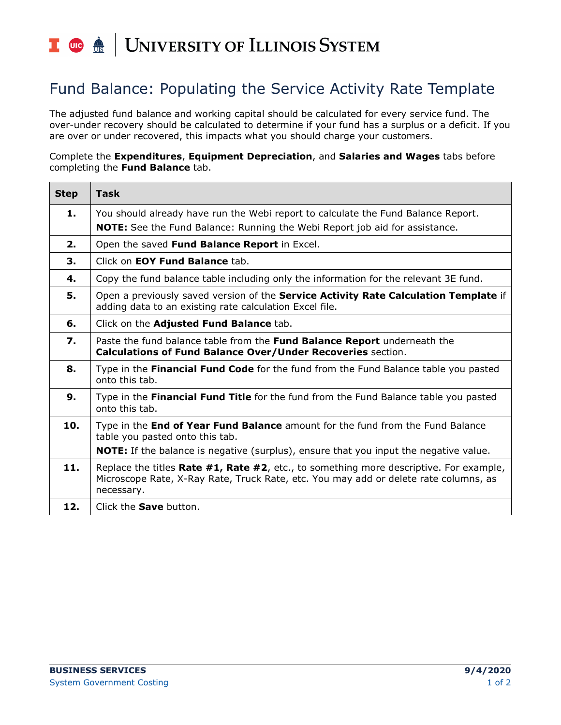## I die <u>de</u> UNIVERSITY OF ILLINOIS SYSTEM

## Fund Balance: Populating the Service Activity Rate Template

The adjusted fund balance and working capital should be calculated for every service fund. The over-under recovery should be calculated to determine if your fund has a surplus or a deficit. If you are over or under recovered, this impacts what you should charge your customers.

Complete the **Expenditures**, **Equipment Depreciation**, and **Salaries and Wages** tabs before completing the **Fund Balance** tab.

| <b>Step</b> | <b>Task</b>                                                                                                                                                                                  |
|-------------|----------------------------------------------------------------------------------------------------------------------------------------------------------------------------------------------|
| 1.          | You should already have run the Webi report to calculate the Fund Balance Report.<br><b>NOTE:</b> See the Fund Balance: Running the Webi Report job aid for assistance.                      |
| 2.          | Open the saved Fund Balance Report in Excel.                                                                                                                                                 |
| 3.          | Click on <b>EOY Fund Balance</b> tab.                                                                                                                                                        |
| 4.          | Copy the fund balance table including only the information for the relevant 3E fund.                                                                                                         |
| 5.          | Open a previously saved version of the Service Activity Rate Calculation Template if<br>adding data to an existing rate calculation Excel file.                                              |
| 6.          | Click on the Adjusted Fund Balance tab.                                                                                                                                                      |
| 7.          | Paste the fund balance table from the Fund Balance Report underneath the<br>Calculations of Fund Balance Over/Under Recoveries section.                                                      |
| 8.          | Type in the Financial Fund Code for the fund from the Fund Balance table you pasted<br>onto this tab.                                                                                        |
| 9.          | Type in the Financial Fund Title for the fund from the Fund Balance table you pasted<br>onto this tab.                                                                                       |
| 10.         | Type in the End of Year Fund Balance amount for the fund from the Fund Balance<br>table you pasted onto this tab.                                                                            |
|             | <b>NOTE:</b> If the balance is negative (surplus), ensure that you input the negative value.                                                                                                 |
| 11.         | Replace the titles Rate #1, Rate #2, etc., to something more descriptive. For example,<br>Microscope Rate, X-Ray Rate, Truck Rate, etc. You may add or delete rate columns, as<br>necessary. |
| 12.         | Click the <b>Save</b> button.                                                                                                                                                                |